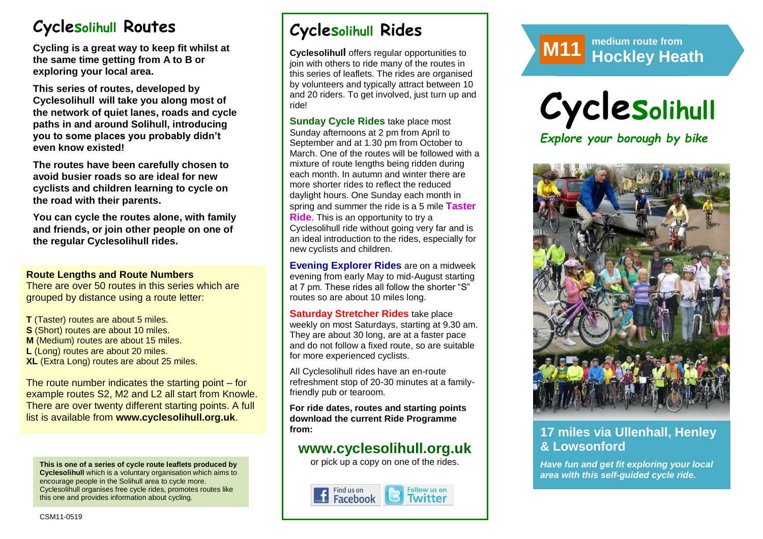# **Cyclesolihull Routes**

**Cycling is a great way to keep fit whilst at the same time getting from A to B or exploring your local area.** 

**This series of routes, developed by Cyclesolihull will take you along most of the network of quiet lanes, roads and cycle paths in and around Solihull, introducing you to some places you probably didn't even know existed!**

**The routes have been carefully chosen to avoid busier roads so are ideal for new cyclists and children learning to cycle on the road with their parents.** 

**You can cycle the routes alone, with family and friends, or join other people on one of the regular Cyclesolihull rides.**

#### **Route Lengths and Route Numbers**

There are over 50 routes in this series which are grouped by distance using a route letter:

**T** (Taster) routes are about 5 miles. **S** (Short) routes are about 10 miles. **M** (Medium) routes are about 15 miles. **L** (Long) routes are about 20 miles. **XL** (Extra Long) routes are about 25 miles.

The route number indicates the starting point – for example routes S2, M2 and L2 all start from Knowle. There are over twenty different starting points. A full list is available from **www.cyclesolihull.org.uk**.

**This is one of a series of cycle route leaflets produced by Cyclesolihull** which is a voluntary organisation which aims to encourage people in the Solihull area to cycle more. Cyclesolihull organises free cycle rides, promotes routes like this one and provides information about cycling.

# **Cyclesolihull Rides**

**Cyclesolihull** offers regular opportunities to join with others to ride many of the routes in this series of leaflets. The rides are organised by volunteers and typically attract between 10 and 20 riders. To get involved, just turn up and ride!

**Sunday Cycle Rides** take place most Sunday afternoons at 2 pm from April to September and at 1.30 pm from October to March. One of the routes will be followed with a mixture of route lengths being ridden during each month. In autumn and winter there are more shorter rides to reflect the reduced daylight hours. One Sunday each month in spring and summer the ride is a 5 mile **Taster Ride**. This is an opportunity to try a Cyclesolihull ride without going very far and is an ideal introduction to the rides, especially for new cyclists and children.

**Evening Explorer Rides** are on a midweek evening from early May to mid-August starting at 7 pm. These rides all follow the shorter "S" routes so are about 10 miles long.

**Saturday Stretcher Rides** take place weekly on most Saturdays, starting at 9.30 am. They are about 30 long, are at a faster pace and do not follow a fixed route, so are suitable for more experienced cyclists.

All Cyclesolihull rides have an en-route refreshment stop of 20-30 minutes at a familyfriendly pub or tearoom.

**For ride dates, routes and starting points download the current Ride Programme from:** 

## **www.cyclesolihull.org.uk**

or pick up a copy on one of the rides.









## **17 miles via Ullenhall, Henley & Lowsonford**

*Have fun and get fit exploring your local area with this self-guided cycle ride.*